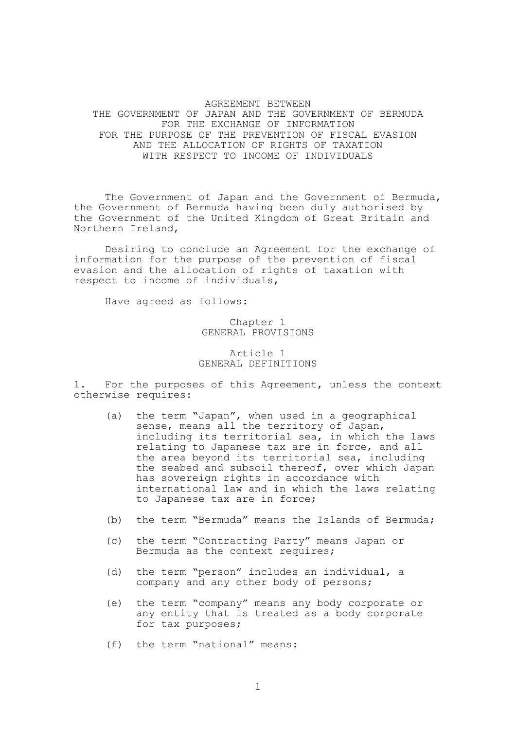AGREEMENT BETWEEN THE GOVERNMENT OF JAPAN AND THE GOVERNMENT OF BERMUDA FOR THE EXCHANGE OF INFORMATION FOR THE PURPOSE OF THE PREVENTION OF FISCAL EVASION AND THE ALLOCATION OF RIGHTS OF TAXATION WITH RESPECT TO INCOME OF INDIVIDUALS

 The Government of Japan and the Government of Bermuda, the Government of Bermuda having been duly authorised by the Government of the United Kingdom of Great Britain and Northern Ireland,

 Desiring to conclude an Agreement for the exchange of information for the purpose of the prevention of fiscal evasion and the allocation of rights of taxation with respect to income of individuals,

Have agreed as follows:

Chapter 1 GENERAL PROVISIONS

# Article 1 GENERAL DEFINITIONS

1. For the purposes of this Agreement, unless the context otherwise requires:

- (a) the term "Japan", when used in a geographical sense, means all the territory of Japan, including its territorial sea, in which the laws relating to Japanese tax are in force, and all the area beyond its territorial sea, including the seabed and subsoil thereof, over which Japan has sovereign rights in accordance with international law and in which the laws relating to Japanese tax are in force;
- (b) the term "Bermuda" means the Islands of Bermuda;
- (c) the term "Contracting Party" means Japan or Bermuda as the context requires;
- (d) the term "person" includes an individual, a company and any other body of persons;
- (e) the term "company" means any body corporate or any entity that is treated as a body corporate for tax purposes;
- (f) the term "national" means: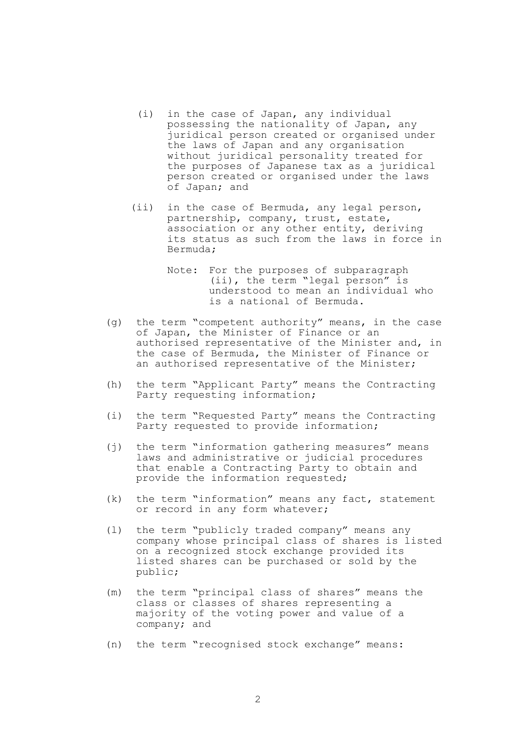- (i) in the case of Japan, any individual possessing the nationality of Japan, any juridical person created or organised under the laws of Japan and any organisation without juridical personality treated for the purposes of Japanese tax as a juridical person created or organised under the laws of Japan; and
- (ii) in the case of Bermuda, any legal person, partnership, company, trust, estate, association or any other entity, deriving its status as such from the laws in force in Bermuda;
	- Note: For the purposes of subparagraph (ii), the term "legal person" is understood to mean an individual who is a national of Bermuda.
- (g) the term "competent authority" means, in the case of Japan, the Minister of Finance or an authorised representative of the Minister and, in the case of Bermuda, the Minister of Finance or an authorised representative of the Minister;
- (h) the term "Applicant Party" means the Contracting Party requesting information;
- (i) the term "Requested Party" means the Contracting Party requested to provide information;
- (j) the term "information gathering measures" means laws and administrative or judicial procedures that enable a Contracting Party to obtain and provide the information requested;
- (k) the term "information" means any fact, statement or record in any form whatever;
- (l) the term "publicly traded company" means any company whose principal class of shares is listed on a recognized stock exchange provided its listed shares can be purchased or sold by the public;
- (m) the term "principal class of shares" means the class or classes of shares representing a majority of the voting power and value of a company; and
- (n) the term "recognised stock exchange" means: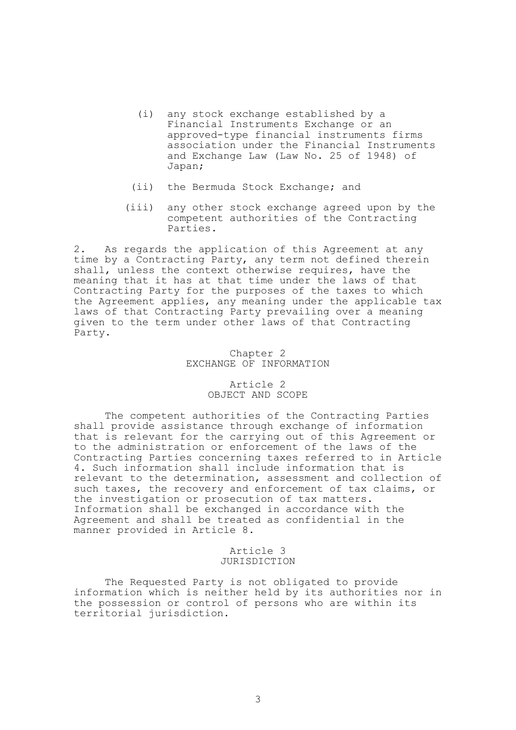- (i) any stock exchange established by a Financial Instruments Exchange or an approved-type financial instruments firms association under the Financial Instruments and Exchange Law (Law No. 25 of 1948) of Japan;
- (ii) the Bermuda Stock Exchange; and
- (iii) any other stock exchange agreed upon by the competent authorities of the Contracting Parties.

2. As regards the application of this Agreement at any time by a Contracting Party, any term not defined therein shall, unless the context otherwise requires, have the meaning that it has at that time under the laws of that Contracting Party for the purposes of the taxes to which the Agreement applies, any meaning under the applicable tax laws of that Contracting Party prevailing over a meaning given to the term under other laws of that Contracting Party.

### Chapter 2 EXCHANGE OF INFORMATION

# Article 2 OBJECT AND SCOPE

 The competent authorities of the Contracting Parties shall provide assistance through exchange of information that is relevant for the carrying out of this Agreement or to the administration or enforcement of the laws of the Contracting Parties concerning taxes referred to in Article 4. Such information shall include information that is relevant to the determination, assessment and collection of such taxes, the recovery and enforcement of tax claims, or the investigation or prosecution of tax matters. Information shall be exchanged in accordance with the Agreement and shall be treated as confidential in the manner provided in Article 8.

# Article 3 JURISDICTION

 The Requested Party is not obligated to provide information which is neither held by its authorities nor in the possession or control of persons who are within its territorial jurisdiction.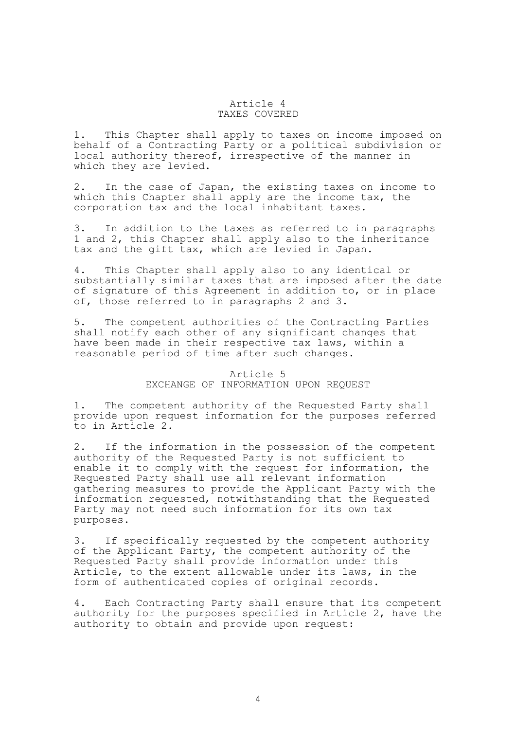### Article 4 TAXES COVERED

1. This Chapter shall apply to taxes on income imposed on behalf of a Contracting Party or a political subdivision or local authority thereof, irrespective of the manner in which they are levied.

2. In the case of Japan, the existing taxes on income to which this Chapter shall apply are the income tax, the corporation tax and the local inhabitant taxes.

3. In addition to the taxes as referred to in paragraphs 1 and 2, this Chapter shall apply also to the inheritance tax and the gift tax, which are levied in Japan.

4. This Chapter shall apply also to any identical or substantially similar taxes that are imposed after the date of signature of this Agreement in addition to, or in place of, those referred to in paragraphs 2 and 3.

5. The competent authorities of the Contracting Parties shall notify each other of any significant changes that have been made in their respective tax laws, within a reasonable period of time after such changes.

## Article 5 EXCHANGE OF INFORMATION UPON REQUEST

1. The competent authority of the Requested Party shall provide upon request information for the purposes referred to in Article 2.

2. If the information in the possession of the competent authority of the Requested Party is not sufficient to enable it to comply with the request for information, the Requested Party shall use all relevant information gathering measures to provide the Applicant Party with the information requested, notwithstanding that the Requested Party may not need such information for its own tax purposes.

3. If specifically requested by the competent authority of the Applicant Party, the competent authority of the Requested Party shall provide information under this Article, to the extent allowable under its laws, in the form of authenticated copies of original records.

4. Each Contracting Party shall ensure that its competent authority for the purposes specified in Article 2, have the authority to obtain and provide upon request: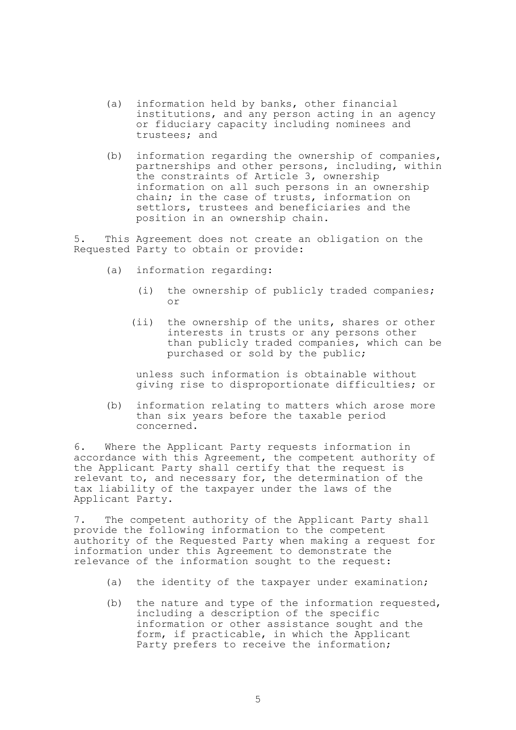- (a) information held by banks, other financial institutions, and any person acting in an agency or fiduciary capacity including nominees and trustees; and
- (b) information regarding the ownership of companies, partnerships and other persons, including, within the constraints of Article 3, ownership information on all such persons in an ownership chain; in the case of trusts, information on settlors, trustees and beneficiaries and the position in an ownership chain.

5. This Agreement does not create an obligation on the Requested Party to obtain or provide:

- (a) information regarding:
	- (i) the ownership of publicly traded companies; or
	- (ii) the ownership of the units, shares or other interests in trusts or any persons other than publicly traded companies, which can be purchased or sold by the public;

 unless such information is obtainable without giving rise to disproportionate difficulties; or

 (b) information relating to matters which arose more than six years before the taxable period concerned.

6. Where the Applicant Party requests information in accordance with this Agreement, the competent authority of the Applicant Party shall certify that the request is relevant to, and necessary for, the determination of the tax liability of the taxpayer under the laws of the Applicant Party.

7. The competent authority of the Applicant Party shall provide the following information to the competent authority of the Requested Party when making a request for information under this Agreement to demonstrate the relevance of the information sought to the request:

- (a) the identity of the taxpayer under examination;
- (b) the nature and type of the information requested, including a description of the specific information or other assistance sought and the form, if practicable, in which the Applicant Party prefers to receive the information;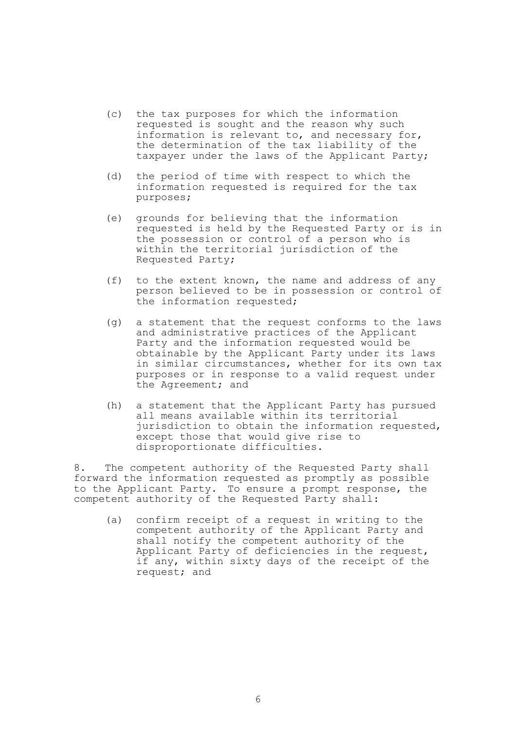- (c) the tax purposes for which the information requested is sought and the reason why such information is relevant to, and necessary for, the determination of the tax liability of the taxpayer under the laws of the Applicant Party;
- (d) the period of time with respect to which the information requested is required for the tax purposes;
- (e) grounds for believing that the information requested is held by the Requested Party or is in the possession or control of a person who is within the territorial jurisdiction of the Requested Party;
- (f) to the extent known, the name and address of any person believed to be in possession or control of the information requested;
- (g) a statement that the request conforms to the laws and administrative practices of the Applicant Party and the information requested would be obtainable by the Applicant Party under its laws in similar circumstances, whether for its own tax purposes or in response to a valid request under the Agreement; and
- (h) a statement that the Applicant Party has pursued all means available within its territorial jurisdiction to obtain the information requested, except those that would give rise to disproportionate difficulties.

8. The competent authority of the Requested Party shall forward the information requested as promptly as possible to the Applicant Party. To ensure a prompt response, the competent authority of the Requested Party shall:

 (a) confirm receipt of a request in writing to the competent authority of the Applicant Party and shall notify the competent authority of the Applicant Party of deficiencies in the request, if any, within sixty days of the receipt of the request; and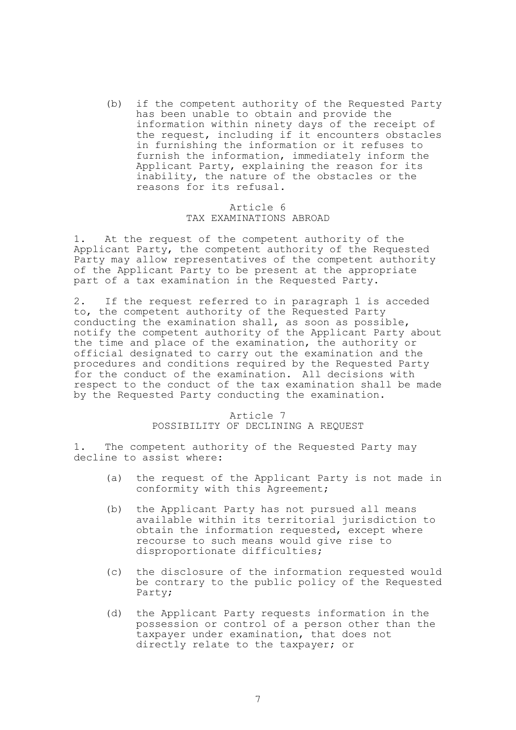(b) if the competent authority of the Requested Party has been unable to obtain and provide the information within ninety days of the receipt of the request, including if it encounters obstacles in furnishing the information or it refuses to furnish the information, immediately inform the Applicant Party, explaining the reason for its inability, the nature of the obstacles or the reasons for its refusal.

# Article 6 TAX EXAMINATIONS ABROAD

1. At the request of the competent authority of the Applicant Party, the competent authority of the Requested Party may allow representatives of the competent authority of the Applicant Party to be present at the appropriate part of a tax examination in the Requested Party.

2. If the request referred to in paragraph 1 is acceded to, the competent authority of the Requested Party conducting the examination shall, as soon as possible, notify the competent authority of the Applicant Party about the time and place of the examination, the authority or official designated to carry out the examination and the procedures and conditions required by the Requested Party for the conduct of the examination. All decisions with respect to the conduct of the tax examination shall be made by the Requested Party conducting the examination.

## Article 7 POSSIBILITY OF DECLINING A REQUEST

1. The competent authority of the Requested Party may decline to assist where:

- (a) the request of the Applicant Party is not made in conformity with this Agreement;
- (b) the Applicant Party has not pursued all means available within its territorial jurisdiction to obtain the information requested, except where recourse to such means would give rise to disproportionate difficulties;
- (c) the disclosure of the information requested would be contrary to the public policy of the Requested Party;
- (d) the Applicant Party requests information in the possession or control of a person other than the taxpayer under examination, that does not directly relate to the taxpayer; or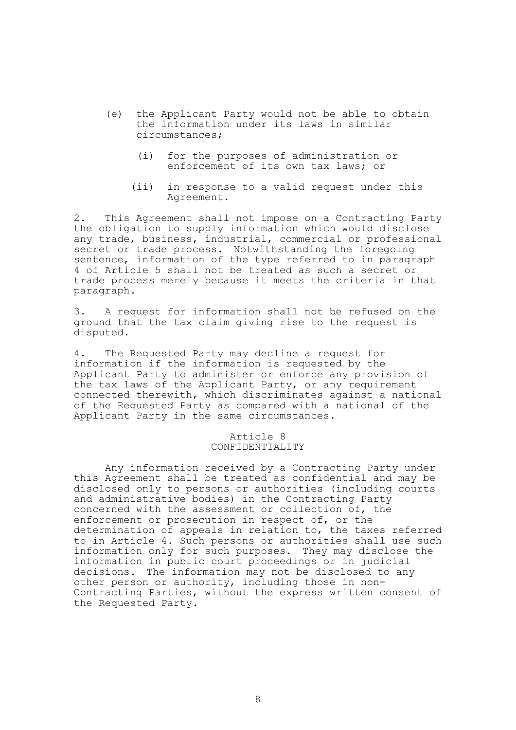- (e) the Applicant Party would not be able to obtain the information under its laws in similar circumstances;
	- (i) for the purposes of administration or enforcement of its own tax laws; or
	- (ii) in response to a valid request under this Agreement.

2. This Agreement shall not impose on a Contracting Party the obligation to supply information which would disclose any trade, business, industrial, commercial or professional secret or trade process. Notwithstanding the foregoing sentence, information of the type referred to in paragraph 4 of Article 5 shall not be treated as such a secret or trade process merely because it meets the criteria in that paragraph.

3. A request for information shall not be refused on the ground that the tax claim giving rise to the request is disputed.

4. The Requested Party may decline a request for information if the information is requested by the Applicant Party to administer or enforce any provision of the tax laws of the Applicant Party, or any requirement connected therewith, which discriminates against a national of the Requested Party as compared with a national of the Applicant Party in the same circumstances.

### Article 8 CONFIDENTIALITY

 Any information received by a Contracting Party under this Agreement shall be treated as confidential and may be disclosed only to persons or authorities (including courts and administrative bodies) in the Contracting Party concerned with the assessment or collection of, the enforcement or prosecution in respect of, or the determination of appeals in relation to, the taxes referred to in Article 4. Such persons or authorities shall use such information only for such purposes. They may disclose the information in public court proceedings or in judicial decisions. The information may not be disclosed to any other person or authority, including those in non-Contracting Parties, without the express written consent of the Requested Party.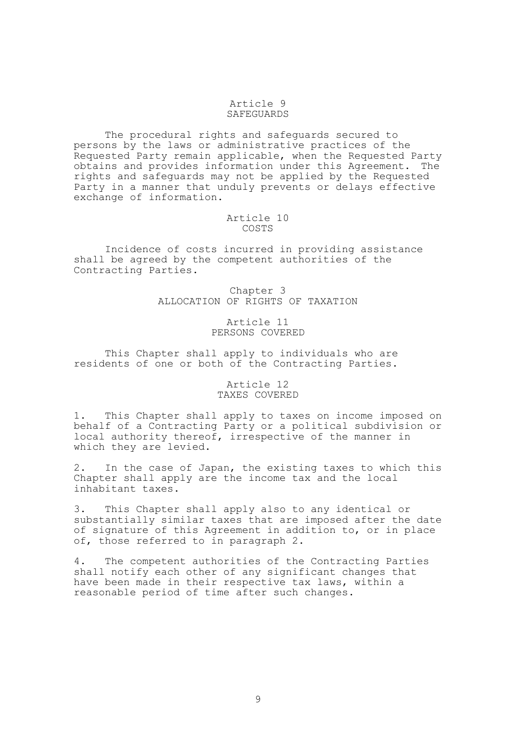# Article 9 SAFEGUARDS

 The procedural rights and safeguards secured to persons by the laws or administrative practices of the Requested Party remain applicable, when the Requested Party obtains and provides information under this Agreement. The rights and safeguards may not be applied by the Requested Party in a manner that unduly prevents or delays effective exchange of information.

### Article 10 COSTS

 Incidence of costs incurred in providing assistance shall be agreed by the competent authorities of the Contracting Parties.

> Chapter 3 ALLOCATION OF RIGHTS OF TAXATION

#### Article 11 PERSONS COVERED

 This Chapter shall apply to individuals who are residents of one or both of the Contracting Parties.

# Article 12 TAXES COVERED

1. This Chapter shall apply to taxes on income imposed on behalf of a Contracting Party or a political subdivision or local authority thereof, irrespective of the manner in which they are levied.

2. In the case of Japan, the existing taxes to which this Chapter shall apply are the income tax and the local inhabitant taxes.

3. This Chapter shall apply also to any identical or substantially similar taxes that are imposed after the date of signature of this Agreement in addition to, or in place of, those referred to in paragraph 2.

4. The competent authorities of the Contracting Parties shall notify each other of any significant changes that have been made in their respective tax laws, within a reasonable period of time after such changes.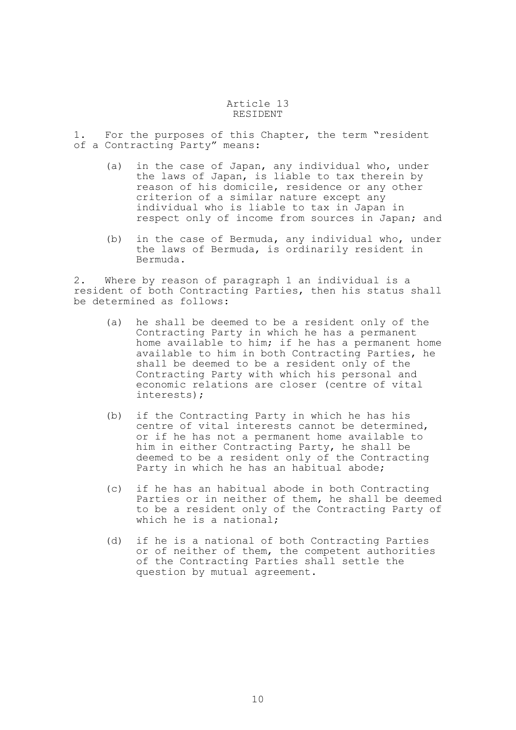### Article 13 RESIDENT

1. For the purposes of this Chapter, the term "resident of a Contracting Party" means:

- (a) in the case of Japan, any individual who, under the laws of Japan, is liable to tax therein by reason of his domicile, residence or any other criterion of a similar nature except any individual who is liable to tax in Japan in respect only of income from sources in Japan; and
- (b) in the case of Bermuda, any individual who, under the laws of Bermuda, is ordinarily resident in Bermuda.

2. Where by reason of paragraph 1 an individual is a resident of both Contracting Parties, then his status shall be determined as follows:

- (a) he shall be deemed to be a resident only of the Contracting Party in which he has a permanent home available to him; if he has a permanent home available to him in both Contracting Parties, he shall be deemed to be a resident only of the Contracting Party with which his personal and economic relations are closer (centre of vital interests);
- (b) if the Contracting Party in which he has his centre of vital interests cannot be determined, or if he has not a permanent home available to him in either Contracting Party, he shall be deemed to be a resident only of the Contracting Party in which he has an habitual abode;
- (c) if he has an habitual abode in both Contracting Parties or in neither of them, he shall be deemed to be a resident only of the Contracting Party of which he is a national;
- (d) if he is a national of both Contracting Parties or of neither of them, the competent authorities of the Contracting Parties shall settle the question by mutual agreement.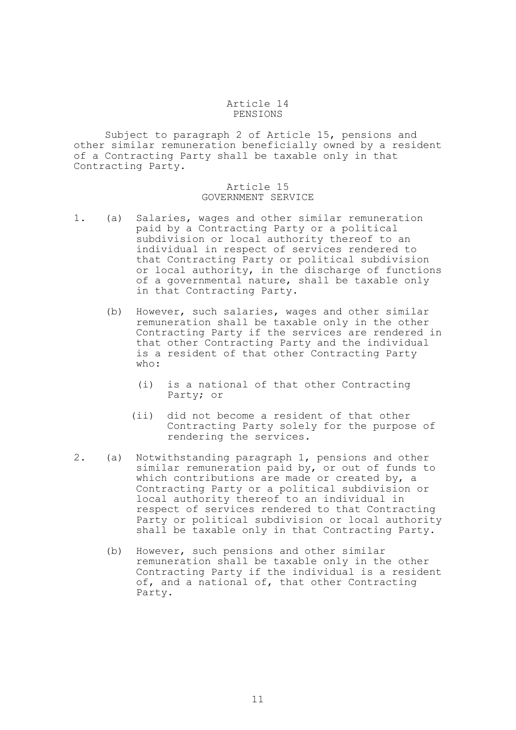#### Article 14 PENSIONS

 Subject to paragraph 2 of Article 15, pensions and other similar remuneration beneficially owned by a resident of a Contracting Party shall be taxable only in that Contracting Party.

# Article 15 GOVERNMENT SERVICE

- 1. (a) Salaries, wages and other similar remuneration paid by a Contracting Party or a political subdivision or local authority thereof to an individual in respect of services rendered to that Contracting Party or political subdivision or local authority, in the discharge of functions of a governmental nature, shall be taxable only in that Contracting Party.
	- (b) However, such salaries, wages and other similar remuneration shall be taxable only in the other Contracting Party if the services are rendered in that other Contracting Party and the individual is a resident of that other Contracting Party who:
		- (i) is a national of that other Contracting Party; or
		- (ii) did not become a resident of that other Contracting Party solely for the purpose of rendering the services.
- 2. (a) Notwithstanding paragraph 1, pensions and other similar remuneration paid by, or out of funds to which contributions are made or created by, a Contracting Party or a political subdivision or local authority thereof to an individual in respect of services rendered to that Contracting Party or political subdivision or local authority shall be taxable only in that Contracting Party.
	- (b) However, such pensions and other similar remuneration shall be taxable only in the other Contracting Party if the individual is a resident of, and a national of, that other Contracting Party.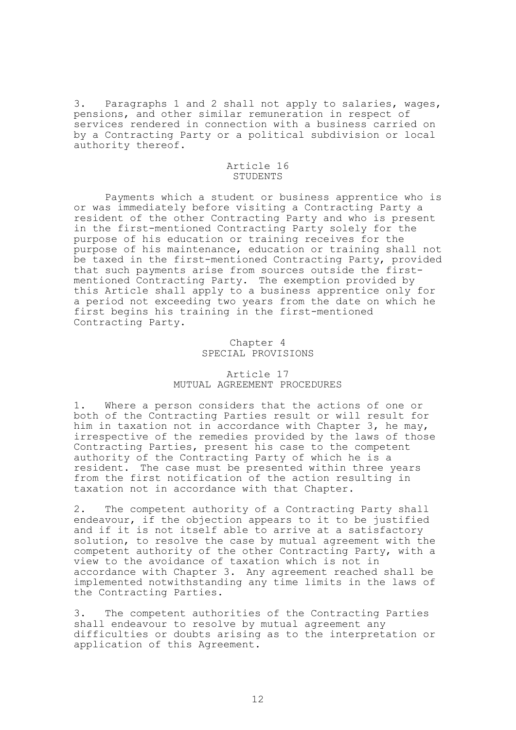3. Paragraphs 1 and 2 shall not apply to salaries, wages, pensions, and other similar remuneration in respect of services rendered in connection with a business carried on by a Contracting Party or a political subdivision or local authority thereof.

## Article 16 STUDENTS

 Payments which a student or business apprentice who is or was immediately before visiting a Contracting Party a resident of the other Contracting Party and who is present in the first-mentioned Contracting Party solely for the purpose of his education or training receives for the purpose of his maintenance, education or training shall not be taxed in the first-mentioned Contracting Party, provided that such payments arise from sources outside the firstmentioned Contracting Party. The exemption provided by this Article shall apply to a business apprentice only for a period not exceeding two years from the date on which he first begins his training in the first-mentioned Contracting Party.

# Chapter 4 SPECIAL PROVISIONS

# Article 17 MUTUAL AGREEMENT PROCEDURES

1. Where a person considers that the actions of one or both of the Contracting Parties result or will result for him in taxation not in accordance with Chapter 3, he may, irrespective of the remedies provided by the laws of those Contracting Parties, present his case to the competent authority of the Contracting Party of which he is a resident. The case must be presented within three years from the first notification of the action resulting in taxation not in accordance with that Chapter.

2. The competent authority of a Contracting Party shall endeavour, if the objection appears to it to be justified and if it is not itself able to arrive at a satisfactory solution, to resolve the case by mutual agreement with the competent authority of the other Contracting Party, with a view to the avoidance of taxation which is not in accordance with Chapter 3. Any agreement reached shall be implemented notwithstanding any time limits in the laws of the Contracting Parties.

3. The competent authorities of the Contracting Parties shall endeavour to resolve by mutual agreement any difficulties or doubts arising as to the interpretation or application of this Agreement.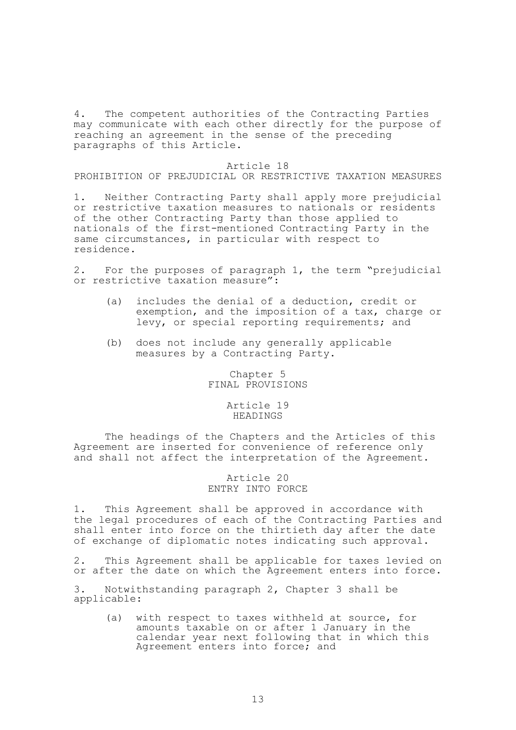4. The competent authorities of the Contracting Parties may communicate with each other directly for the purpose of reaching an agreement in the sense of the preceding paragraphs of this Article.

#### Article 18

# PROHIBITION OF PREJUDICIAL OR RESTRICTIVE TAXATION MEASURES

1. Neither Contracting Party shall apply more prejudicial or restrictive taxation measures to nationals or residents of the other Contracting Party than those applied to nationals of the first-mentioned Contracting Party in the same circumstances, in particular with respect to residence.

2. For the purposes of paragraph 1, the term "prejudicial or restrictive taxation measure":

- (a) includes the denial of a deduction, credit or exemption, and the imposition of a tax, charge or levy, or special reporting requirements; and
- (b) does not include any generally applicable measures by a Contracting Party.

Chapter 5 FINAL PROVISIONS

# Article 19 HEADINGS

 The headings of the Chapters and the Articles of this Agreement are inserted for convenience of reference only and shall not affect the interpretation of the Agreement.

> Article 20 ENTRY INTO FORCE

1. This Agreement shall be approved in accordance with the legal procedures of each of the Contracting Parties and shall enter into force on the thirtieth day after the date of exchange of diplomatic notes indicating such approval.

2. This Agreement shall be applicable for taxes levied on or after the date on which the Agreement enters into force.

3. Notwithstanding paragraph 2, Chapter 3 shall be applicable:

 (a) with respect to taxes withheld at source, for amounts taxable on or after 1 January in the calendar year next following that in which this Agreement enters into force; and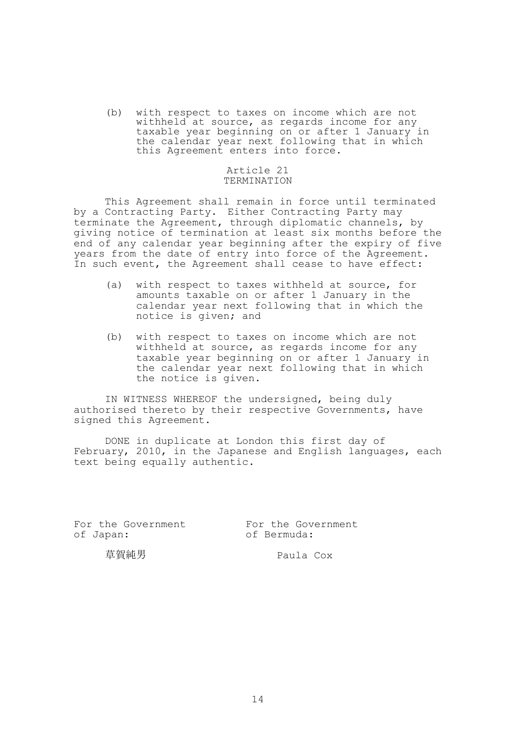(b) with respect to taxes on income which are not withheld at source, as regards income for any taxable year beginning on or after 1 January in the calendar year next following that in which this Agreement enters into force.

# Article 21 TERMINATION

 This Agreement shall remain in force until terminated by a Contracting Party. Either Contracting Party may terminate the Agreement, through diplomatic channels, by giving notice of termination at least six months before the end of any calendar year beginning after the expiry of five years from the date of entry into force of the Agreement. In such event, the Agreement shall cease to have effect:

- (a) with respect to taxes withheld at source, for amounts taxable on or after 1 January in the calendar year next following that in which the notice is given; and
- (b) with respect to taxes on income which are not withheld at source, as regards income for any taxable year beginning on or after 1 January in the calendar year next following that in which the notice is given.

 IN WITNESS WHEREOF the undersigned, being duly authorised thereto by their respective Governments, have signed this Agreement.

 DONE in duplicate at London this first day of February, 2010, in the Japanese and English languages, each text being equally authentic.

For the Government<br>
of Japan:<br>
of Bermuda:

of Bermuda:

草賀純男 Paula Cox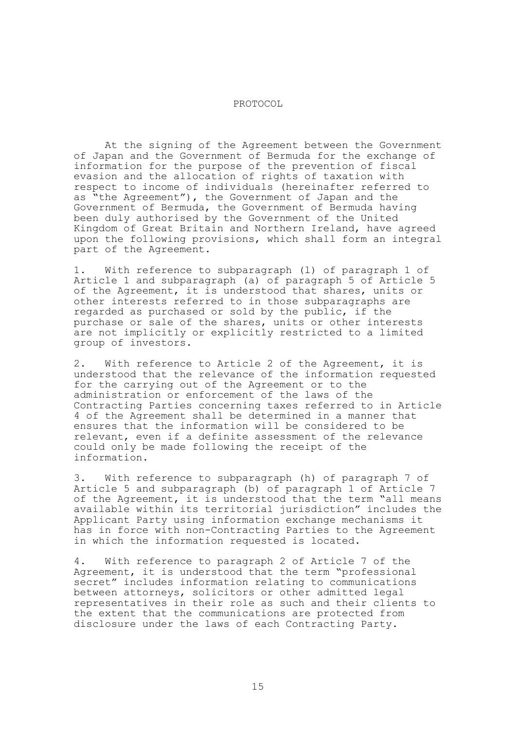#### PROTOCOL

 At the signing of the Agreement between the Government of Japan and the Government of Bermuda for the exchange of information for the purpose of the prevention of fiscal evasion and the allocation of rights of taxation with respect to income of individuals (hereinafter referred to as "the Agreement"), the Government of Japan and the Government of Bermuda, the Government of Bermuda having been duly authorised by the Government of the United Kingdom of Great Britain and Northern Ireland, have agreed upon the following provisions, which shall form an integral part of the Agreement.

1. With reference to subparagraph (l) of paragraph 1 of Article 1 and subparagraph (a) of paragraph 5 of Article 5 of the Agreement, it is understood that shares, units or other interests referred to in those subparagraphs are regarded as purchased or sold by the public, if the purchase or sale of the shares, units or other interests are not implicitly or explicitly restricted to a limited group of investors.

2. With reference to Article 2 of the Agreement, it is understood that the relevance of the information requested for the carrying out of the Agreement or to the administration or enforcement of the laws of the Contracting Parties concerning taxes referred to in Article 4 of the Agreement shall be determined in a manner that ensures that the information will be considered to be relevant, even if a definite assessment of the relevance could only be made following the receipt of the information.

3. With reference to subparagraph (h) of paragraph 7 of Article 5 and subparagraph (b) of paragraph 1 of Article 7 of the Agreement, it is understood that the term "all means available within its territorial jurisdiction" includes the Applicant Party using information exchange mechanisms it has in force with non-Contracting Parties to the Agreement in which the information requested is located.

4. With reference to paragraph 2 of Article 7 of the Agreement, it is understood that the term "professional secret" includes information relating to communications between attorneys, solicitors or other admitted legal representatives in their role as such and their clients to the extent that the communications are protected from disclosure under the laws of each Contracting Party.